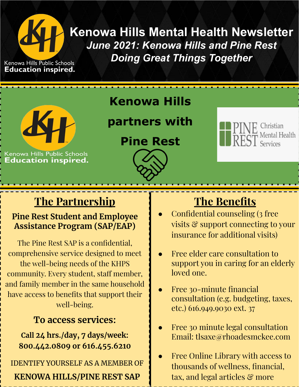

**Kenowa Hills Mental Health Newsletter** *June 2021: Kenowa Hills and Pine Rest Doing Great Things Together*

Kenowa Hills Public Schools **Education inspired.** 



Kenowa Hills Public Schools **Education inspired.** 

### **Kenowa Hills**

### **partners with**

**Pine Rest**





### **The Partnership**

#### **Pine Rest Student and Employee Assistance Program (SAP/EAP)**

The Pine Rest SAP is a confidential, comprehensive service designed to meet the well-being needs of the KHPS community. Every student, staff member, and family member in the same household have access to benefits that support their well-being.

### **To access services:**

**Call 24 hrs./day, 7 days/week: 800.442.0809 or 616.455.6210**

IDENTIFY YOURSELF AS A MEMBER OF **KENOWA HILLS/PINE REST SAP**

# **The Benefits**

- Confidential counseling (3 free visits & support connecting to your insurance for additional visits)
- Free elder care consultation to support you in caring for an elderly loved one.
- Free 30-minute financial consultation (e.g. budgeting, taxes, etc.) 616.949.9030 ext. 37
- Free 30 minute legal consultation Email: tlsaxe@rhoadesmckee.com
- Free Online Library with access to thousands of wellness, financial, tax, and legal articles & more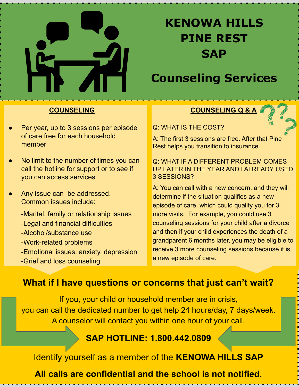

# **KENOWA HILLS PINE REST SAP**

### **Counseling Services**

#### **COUNSELING**

- Per year, up to 3 sessions per episode of care free for each household member
- No limit to the number of times you can call the hotline for support or to see if you can access services
- Any issue can be addressed. Common issues include:

-Marital, family or relationship issues -Legal and financial difficulties -Alcohol/substance use -Work-related problems -Emotional issues: anxiety, depression

-Grief and loss counseling

#### **COUNSELING Q & A**

Q: WHAT IS THE COST?

A: The first 3 sessions are free. After that Pine Rest helps you transition to insurance.

Q: WHAT IF A DIFFERENT PROBLEM COMES UP LATER IN THE YEAR AND I ALREADY USED 3 SESSIONS?

A: You can call with a new concern, and they will determine if the situation qualifies as a new episode of care, which could qualify you for 3 more visits. For example, you could use 3 counseling sessions for your child after a divorce and then if your child experiences the death of a grandparent 6 months later, you may be eligible to receive 3 more counseling sessions because it is a new episode of care.

### **What if I have questions or concerns that just can't wait?**

If you, your child or household member are in crisis, you can call the dedicated number to get help 24 hours/day, 7 days/week. A counselor will contact you within one hour of your call.

#### **SAP HOTLINE: 1.800.442.0809**

Identify yourself as a member of the **KENOWA HILLS SAP**

**All calls are confidential and the school is not notified.**